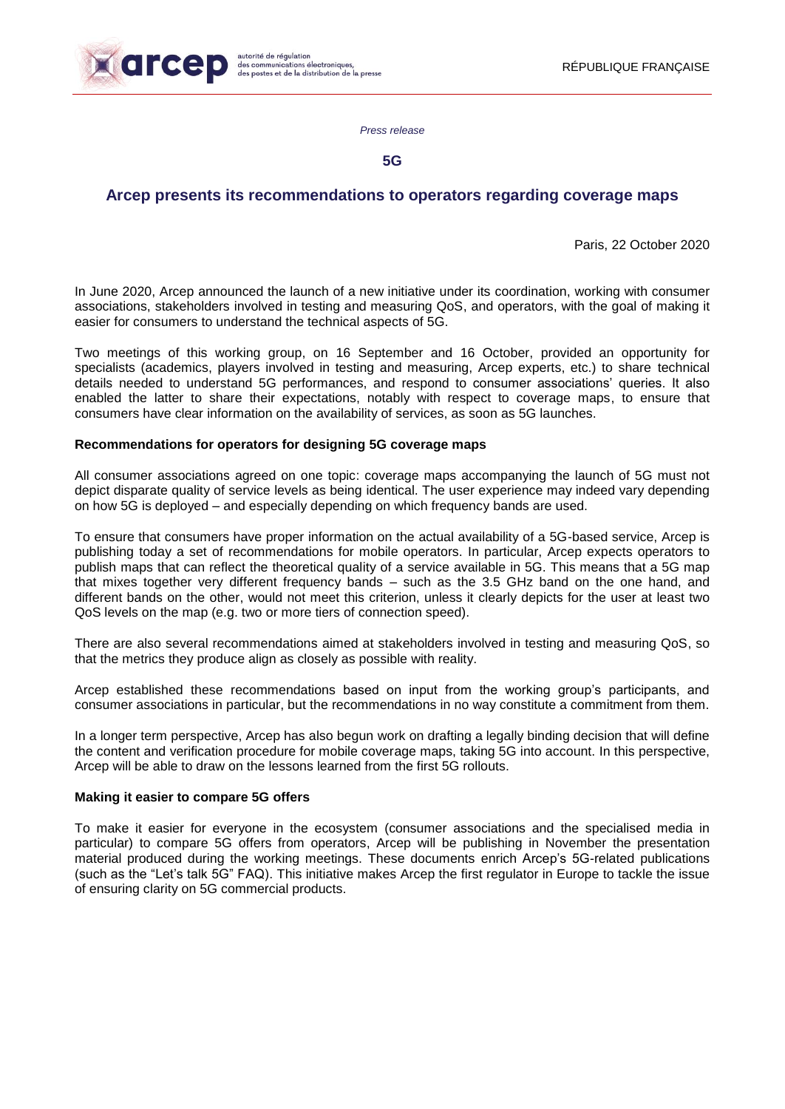

*Press release*

**5G**

# **Arcep presents its recommendations to operators regarding coverage maps**

Paris, 22 October 2020

In June 2020, Arcep announced the launch of a new initiative under its coordination, working with consumer associations, stakeholders involved in testing and measuring QoS, and operators, with the goal of making it easier for consumers to understand the technical aspects of 5G.

Two meetings of this working group, on 16 September and 16 October, provided an opportunity for specialists (academics, players involved in testing and measuring, Arcep experts, etc.) to share technical details needed to understand 5G performances, and respond to consumer associations' queries. It also enabled the latter to share their expectations, notably with respect to coverage maps, to ensure that consumers have clear information on the availability of services, as soon as 5G launches.

## **Recommendations for operators for designing 5G coverage maps**

All consumer associations agreed on one topic: coverage maps accompanying the launch of 5G must not depict disparate quality of service levels as being identical. The user experience may indeed vary depending on how 5G is deployed – and especially depending on which frequency bands are used.

To ensure that consumers have proper information on the actual availability of a 5G-based service, Arcep is publishing today a set of recommendations for mobile operators. In particular, Arcep expects operators to publish maps that can reflect the theoretical quality of a service available in 5G. This means that a 5G map that mixes together very different frequency bands – such as the 3.5 GHz band on the one hand, and different bands on the other, would not meet this criterion, unless it clearly depicts for the user at least two QoS levels on the map (e.g. two or more tiers of connection speed).

There are also several recommendations aimed at stakeholders involved in testing and measuring QoS, so that the metrics they produce align as closely as possible with reality.

Arcep established these recommendations based on input from the working group's participants, and consumer associations in particular, but the recommendations in no way constitute a commitment from them.

In a longer term perspective, Arcep has also begun work on drafting a legally binding decision that will define the content and verification procedure for mobile coverage maps, taking 5G into account. In this perspective, Arcep will be able to draw on the lessons learned from the first 5G rollouts.

### **Making it easier to compare 5G offers**

To make it easier for everyone in the ecosystem (consumer associations and the specialised media in particular) to compare 5G offers from operators, Arcep will be publishing in November the presentation material produced during the working meetings. These documents enrich Arcep's 5G-related publications (such as the "Let's talk 5G" FAQ). This initiative makes Arcep the first regulator in Europe to tackle the issue of ensuring clarity on 5G commercial products.